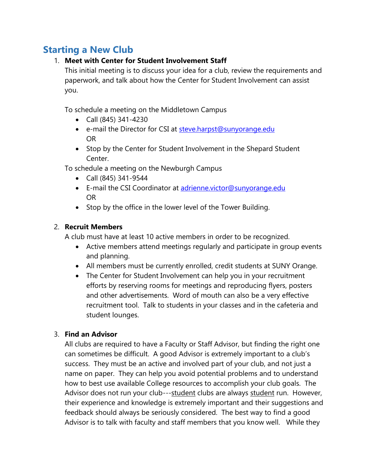## **Starting a New Club**

### 1. **Meet with Center for Student Involvement Staff**

This initial meeting is to discuss your idea for a club, review the requirements and paperwork, and talk about how the Center for Student Involvement can assist you.

To schedule a meeting on the Middletown Campus

- Call (845) 341-4230
- e-mail the Director for CSI at [steve.harpst@sunyorange.edu](mailto:steve.harpst@sunyorange.edu) OR
- Stop by the Center for Student Involvement in the Shepard Student Center.

To schedule a meeting on the Newburgh Campus

- Call (845) 341-9544
- E-mail the CSI Coordinator at [adrienne.victor@sunyorange.edu](mailto:adrienne.victor@sunyorange.edu) OR
- Stop by the office in the lower level of the Tower Building.

### 2. **Recruit Members**

A club must have at least 10 active members in order to be recognized.

- Active members attend meetings regularly and participate in group events and planning.
- All members must be currently enrolled, credit students at SUNY Orange.
- The Center for Student Involvement can help you in your recruitment efforts by reserving rooms for meetings and reproducing flyers, posters and other advertisements. Word of mouth can also be a very effective recruitment tool. Talk to students in your classes and in the cafeteria and student lounges.

## 3. **Find an Advisor**

All clubs are required to have a Faculty or Staff Advisor, but finding the right one can sometimes be difficult. A good Advisor is extremely important to a club's success. They must be an active and involved part of your club, and not just a name on paper. They can help you avoid potential problems and to understand how to best use available College resources to accomplish your club goals. The Advisor does not run your club---student clubs are always student run. However, their experience and knowledge is extremely important and their suggestions and feedback should always be seriously considered. The best way to find a good Advisor is to talk with faculty and staff members that you know well. While they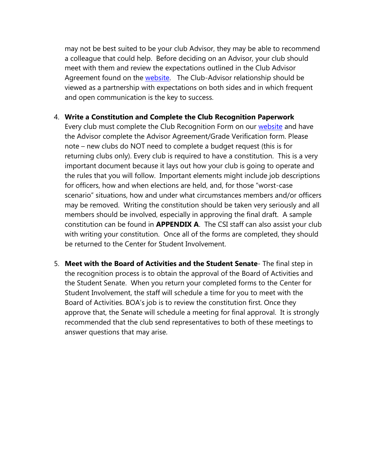may not be best suited to be your club Advisor, they may be able to recommend a colleague that could help. Before deciding on an Advisor, your club should meet with them and review the expectations outlined in the Club Advisor Agreement found on the [website.](https://sunyorange.edu/csi/forms.html) The Club-Advisor relationship should be viewed as a partnership with expectations on both sides and in which frequent and open communication is the key to success.

### 4. **Write a Constitution and Complete the Club Recognition Paperwork**

Every club must complete the Club Recognition Form on our [website](https://sunyorange.edu/csi/forms.html) and have the Advisor complete the Advisor Agreement/Grade Verification form. Please note – new clubs do NOT need to complete a budget request (this is for returning clubs only). Every club is required to have a constitution. This is a very important document because it lays out how your club is going to operate and the rules that you will follow. Important elements might include job descriptions for officers, how and when elections are held, and, for those "worst-case scenario" situations, how and under what circumstances members and/or officers may be removed. Writing the constitution should be taken very seriously and all members should be involved, especially in approving the final draft. A sample constitution can be found in **APPENDIX A**. The CSI staff can also assist your club with writing your constitution. Once all of the forms are completed, they should be returned to the Center for Student Involvement.

5. **Meet with the Board of Activities and the Student Senate**- The final step in the recognition process is to obtain the approval of the Board of Activities and the Student Senate. When you return your completed forms to the Center for Student Involvement, the staff will schedule a time for you to meet with the Board of Activities. BOA's job is to review the constitution first. Once they approve that, the Senate will schedule a meeting for final approval. It is strongly recommended that the club send representatives to both of these meetings to answer questions that may arise.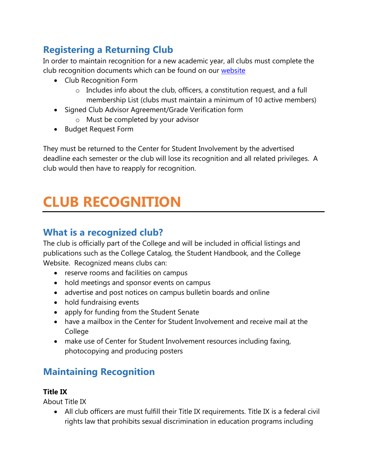## **Registering a Returning Club**

In order to maintain recognition for a new academic year, all clubs must complete the club recognition documents which can be found on our [website](https://sunyorange.edu/csi/forms.html)

- Club Recognition Form
	- o Includes info about the club, officers, a constitution request, and a full membership List (clubs must maintain a minimum of 10 active members)
- Signed Club Advisor Agreement/Grade Verification form
	- o Must be completed by your advisor
- Budget Request Form

They must be returned to the Center for Student Involvement by the advertised deadline each semester or the club will lose its recognition and all related privileges. A club would then have to reapply for recognition.

# **CLUB RECOGNITION**

## **What is a recognized club?**

The club is officially part of the College and will be included in official listings and publications such as the College Catalog, the Student Handbook, and the College Website. Recognized means clubs can:

- reserve rooms and facilities on campus
- hold meetings and sponsor events on campus
- advertise and post notices on campus bulletin boards and online
- hold fundraising events
- apply for funding from the Student Senate
- have a mailbox in the Center for Student Involvement and receive mail at the College
- make use of Center for Student Involvement resources including faxing, photocopying and producing posters

## **Maintaining Recognition**

## **Title IX**

About Title IX

 All club officers are must fulfill their Title IX requirements. Title IX is a federal civil rights law that prohibits sexual discrimination in education programs including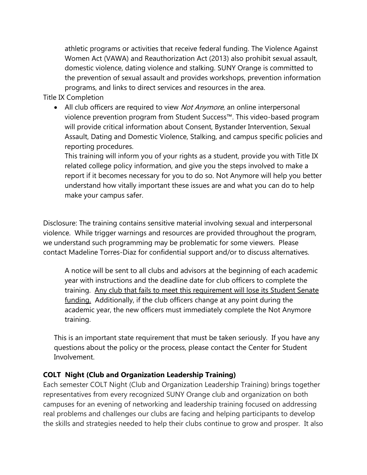athletic programs or activities that receive federal funding. The Violence Against Women Act (VAWA) and Reauthorization Act (2013) also prohibit sexual assault, domestic violence, dating violence and stalking. SUNY Orange is committed to the prevention of sexual assault and provides workshops, prevention information programs, and links to direct services and resources in the area.

Title IX Completion

• All club officers are required to view *Not Anymore*, an online interpersonal violence prevention program from Student Success™. This video-based program will provide critical information about Consent, Bystander Intervention, Sexual Assault, Dating and Domestic Violence, Stalking, and campus specific policies and reporting procedures.

This training will inform you of your rights as a student, provide you with Title IX related college policy information, and give you the steps involved to make a report if it becomes necessary for you to do so. Not Anymore will help you better understand how vitally important these issues are and what you can do to help make your campus safer.

Disclosure: The training contains sensitive material involving sexual and interpersonal violence. While trigger warnings and resources are provided throughout the program, we understand such programming may be problematic for some viewers. Please contact Madeline Torres-Diaz for confidential support and/or to discuss alternatives.

A notice will be sent to all clubs and advisors at the beginning of each academic year with instructions and the deadline date for club officers to complete the training. Any club that fails to meet this requirement will lose its Student Senate funding. Additionally, if the club officers change at any point during the academic year, the new officers must immediately complete the Not Anymore training.

This is an important state requirement that must be taken seriously. If you have any questions about the policy or the process, please contact the Center for Student Involvement.

### **COLT Night (Club and Organization Leadership Training)**

Each semester COLT Night (Club and Organization Leadership Training) brings together representatives from every recognized SUNY Orange club and organization on both campuses for an evening of networking and leadership training focused on addressing real problems and challenges our clubs are facing and helping participants to develop the skills and strategies needed to help their clubs continue to grow and prosper. It also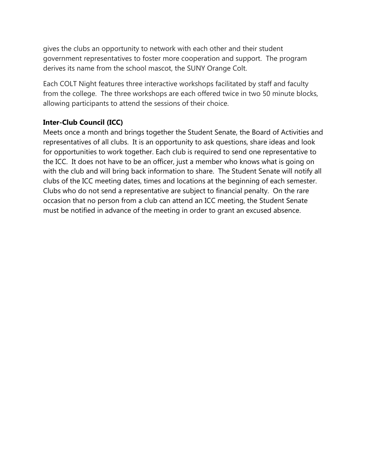gives the clubs an opportunity to network with each other and their student government representatives to foster more cooperation and support. The program derives its name from the school mascot, the SUNY Orange Colt.

Each COLT Night features three interactive workshops facilitated by staff and faculty from the college. The three workshops are each offered twice in two 50 minute blocks, allowing participants to attend the sessions of their choice.

### **Inter-Club Council (ICC)**

Meets once a month and brings together the Student Senate, the Board of Activities and representatives of all clubs. It is an opportunity to ask questions, share ideas and look for opportunities to work together. Each club is required to send one representative to the ICC. It does not have to be an officer, just a member who knows what is going on with the club and will bring back information to share. The Student Senate will notify all clubs of the ICC meeting dates, times and locations at the beginning of each semester. Clubs who do not send a representative are subject to financial penalty. On the rare occasion that no person from a club can attend an ICC meeting, the Student Senate must be notified in advance of the meeting in order to grant an excused absence.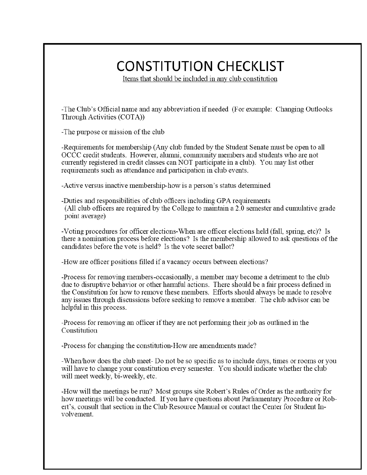# **CONSTITUTION CHECKLIST**

Items that should be included in any club constitution

-The Club's Official name and any abbreviation if needed (For example: Changing Outlooks Through Activities (COTA))

-The purpose or mission of the club

-Requirements for membership (Any club funded by the Student Senate must be open to all OCCC credit students. However, alumni, community members and students who are not currently registered in credit classes can NOT participate in a club). You may list other requirements such as attendance and participation in club events.

- Active versus inactive membership-how is a person's status determined

-Duties and responsibilities of club officers including GPA requirements (All club officers are required by the College to maintain a 2.0 semester and cumulative grade point average)

-Voting procedures for officer elections-When are officer elections held (fall, spring, etc)? Is there a nomination process before elections? Is the membership allowed to ask questions of the candidates before the vote is held? Is the vote secret ballot?

-How are officer positions filled if a vacancy occurs between elections?

-Process for removing members-occasionally, a member may become a detriment to the club due to disruptive behavior or other harmful actions. There should be a fair process defined in the Constitution for how to remove these members. Efforts should always be made to resolve any issues through discussions before seeking to remove a member. The club advisor can be helpful in this process.

-Process for removing an officer if they are not performing their job as outlined in the Constitution

-Process for changing the constitution-How are amendments made?

-When/how does the club meet-Do not be so specific as to include days, times or rooms or you will have to change your constitution every semester. You should indicate whether the club will meet weekly, bi-weekly, etc.

-How will the meetings be run? Most groups site Robert's Rules of Order as the authority for how meetings will be conducted. If you have questions about Parliamentary Procedure or Robert's, consult that section in the Club Resource Manual or contact the Center for Student Involvement.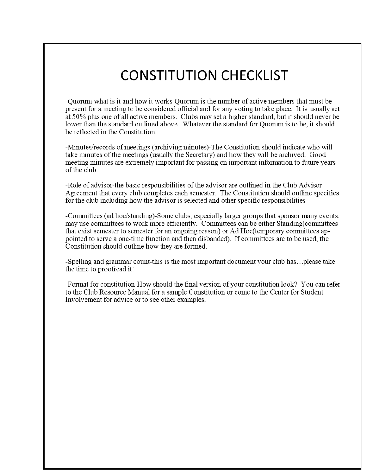# **CONSTITUTION CHECKLIST**

-Ouorum-what is it and how it works-Ouorum is the number of active members that must be present for a meeting to be considered official and for any voting to take place. It is usually set at 50% plus one of all active members. Clubs may set a higher standard, but it should never be lower than the standard outlined above. Whatever the standard for Ouorum is to be, it should be reflected in the Constitution.

-Minutes/records of meetings (archiving minutes)-The Constitution should indicate who will take minutes of the meetings (usually the Secretary) and how they will be archived. Good meeting minutes are extremely important for passing on important information to future years of the club

-Role of advisor-the basic responsibilities of the advisor are outlined in the Club Advisor Agreement that every club completes each semester. The Constitution should outline specifics for the club including how the advisor is selected and other specific responsibilities

-Committees (ad hoc/standing)-Some clubs, especially larger groups that sponsor many events, may use committees to work more efficiently. Committees can be either Standing (committees that exist semester to semester for an ongoing reason) or Ad Hoc(temporary committees appointed to serve a one-time function and then disbanded). If committees are to be used, the Constitution should outline how they are formed.

-Spelling and grammar count-this is the most important document your club has...please take the time to proofread it!

-Format for constitution-How should the final version of your constitution look? You can refer to the Club Resource Manual for a sample Constitution or come to the Center for Student Involvement for advice or to see other examples.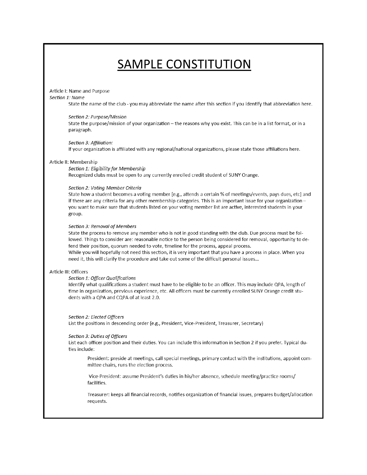## **SAMPLE CONSTITUTION**

#### Article I: Name and Purpose

#### Section 1: Name

State the name of the club - you may abbreviate the name after this section if you identify that abbreviation here.

#### Section 2: Purpose/Mission

State the purpose/mission of your organization - the reasons why you exist. This can be in a list format, or in a paragraph.

Section 3: Affiliation:

If your organization is affiliated with any regional/national organizations, please state those affiliations here.

#### Article II: Membership

#### Section 1: Eligibility for Membership

Recognized clubs must be open to any currently enrolled credit student of SUNY Orange.

#### Section 2: Voting Member Criteria

State how a student becomes a voting member [e.g., attends a certain % of meetings/events, pays dues, etc] and if there are any criteria for any other membership categories. This is an important issue for your organization you want to make sure that students listed on your voting member list are active, interested students in your group.

#### Section 3: Removal of Members

State the process to remove any member who is not in good standing with the club. Due process must be followed. Things to consider are: reasonable notice to the person being considered for removal, opportunity to defend their position, quorum needed to vote, timeline for the process, appeal process.

While you will hopefully not need this section, it is very important that you have a process in place. When you need it, this will clarify the procedure and take out some of the difficult personal issues...

#### Article III: Officers

#### Section 1: Officer Qualifications

Identify what qualifications a student must have to be eligible to be an officer. This may include QPA, length of time in organization, previous experience, etc. All officers must be currently enrolled SUNY Orange credit students with a QPA and CQPA of at least 2.0.

#### Section 2: Elected Officers

List the positions in descending order (e.g., President, Vice-President, Treasurer, Secretary)

#### Section 3: Duties of Officers

List each officer position and their duties. You can include this information in Section 2 if you prefer. Typical duties include:

President: preside at meetings, call special meetings, primary contact with the institutions, appoint committee chairs, runs the election process.

Vice-President: assume President's duties in his/her absence, schedule meeting/practice rooms/ facilities.

Treasurer: keeps all financial records, notifies organization of financial issues, prepares budget/allocation requests.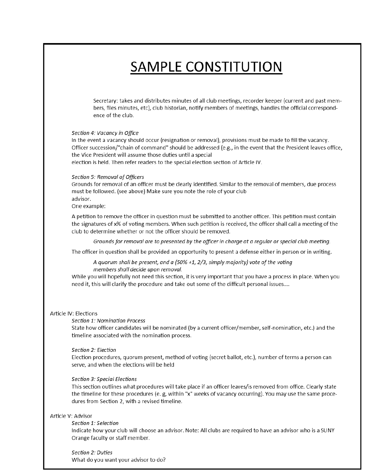# **SAMPLE CONSTITUTION**

Secretary: takes and distributes minutes of all club meetings, recorder keeper (current and past members, files minutes, etc), club historian, notify members of meetings, handles the official correspondence of the club.

Section 4: Vacancy in Office

In the event a vacancy should occur (resignation or removal), provisions must be made to fill the vacancy. Officer succession/"chain of command" should be addressed (e.g., in the event that the President leaves office, the Vice President will assume those duties until a special

election is held. Then refer readers to the special election section of Article IV.

#### Section 5: Removal of Officers

Grounds for removal of an officer must be clearly identified. Similar to the removal of members, due process must be followed. (see above) Make sure you note the role of your club advisor.

One example:

A petition to remove the officer in question must be submitted to another officer. This petition must contain the signatures of x% of voting members. When such petition is received, the officer shall call a meeting of the club to determine whether or not the officer should be removed.

Grounds for removal are to presented by the officer in charge at a regular or special club meeting.

The officer in question shall be provided an opportunity to present a defense either in person or in writing.

A quorum shall be present, and a (50% +1, 2/3, simply majority) vote of the voting members shall decide upon removal.

While you will hopefully not need this section, it is very important that you have a process in place. When you need it, this will clarify the procedure and take out some of the difficult personal issues....

#### Article IV: Elections

#### Section 1: Nomination Process

State how officer candidates will be nominated (by a current officer/member, self-nomination, etc.) and the timeline associated with the nomination process.

#### Section 2: Election

Election procedures, quorum present, method of voting (secret ballot, etc.), number of terms a person can serve, and when the elections will be held

#### Section 3: Special Elections

This section outlines what procedures will take place if an officer leaves/is removed from office. Clearly state the timeline for these procedures (e. g, within "x" weeks of vacancy occurring). You may use the same procedures from Section 2, with a revised timeline.

#### Article V: Advisor

#### Section 1: Selection

Indicate how your club will choose an advisor. Note: All clubs are required to have an advisor who is a SUNY Orange faculty or staff member.

Section 2: Duties What do you want your advisor to do?